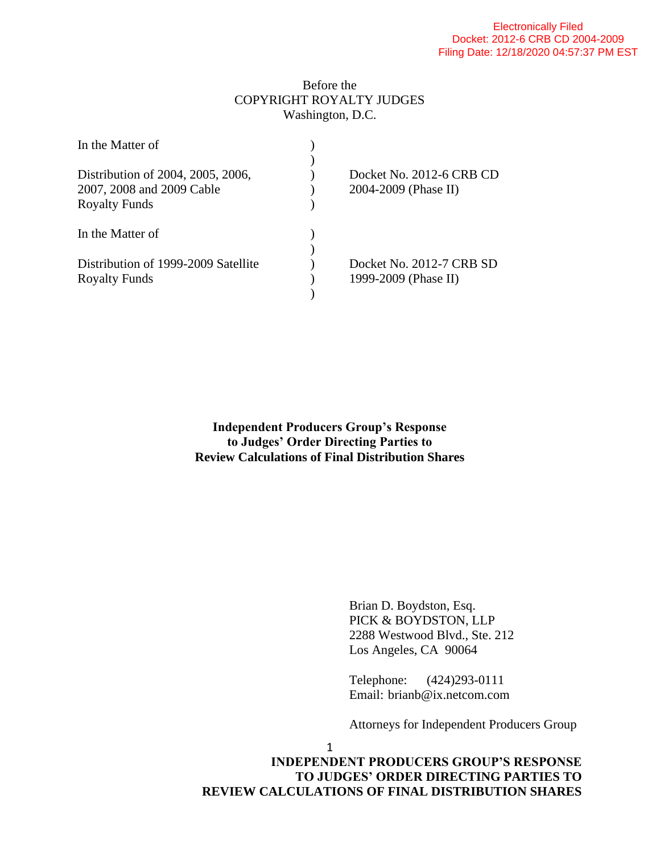## Before the COPYRIGHT ROYALTY JUDGES Washington, D.C.

| Docket No. 2012-6 CRB CD |
|--------------------------|
| 2004-2009 (Phase II)     |
|                          |
|                          |
|                          |
| Docket No. 2012-7 CRB SD |
| 1999-2009 (Phase II)     |
|                          |
|                          |

**Independent Producers Group's Response to Judges' Order Directing Parties to Review Calculations of Final Distribution Shares**

> Brian D. Boydston, Esq. PICK & BOYDSTON, LLP 2288 Westwood Blvd., Ste. 212 Los Angeles, CA 90064

Telephone: (424)293-0111 Email: brianb@ix.netcom.com

Attorneys for Independent Producers Group

1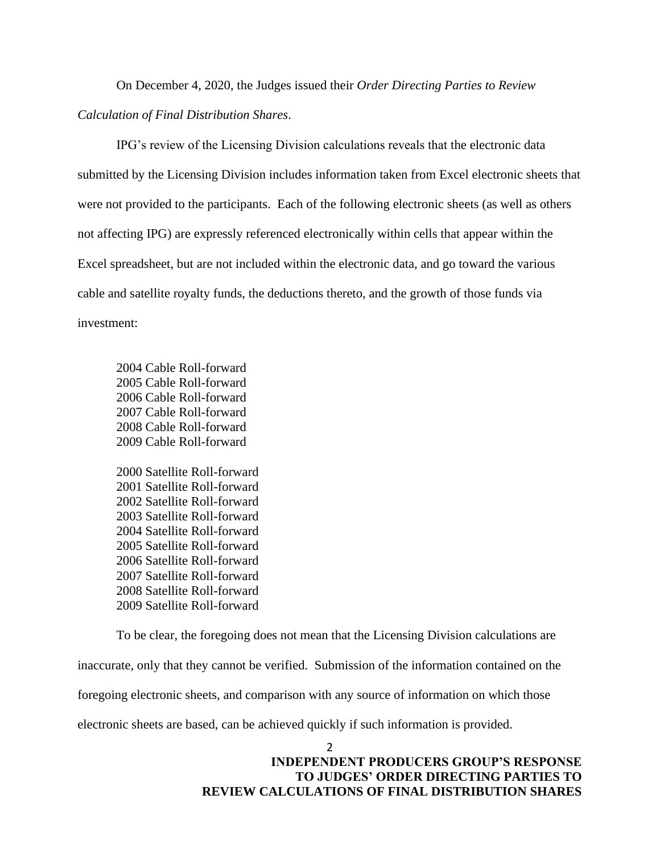On December 4, 2020, the Judges issued their *Order Directing Parties to Review Calculation of Final Distribution Shares*.

IPG's review of the Licensing Division calculations reveals that the electronic data submitted by the Licensing Division includes information taken from Excel electronic sheets that were not provided to the participants. Each of the following electronic sheets (as well as others not affecting IPG) are expressly referenced electronically within cells that appear within the Excel spreadsheet, but are not included within the electronic data, and go toward the various cable and satellite royalty funds, the deductions thereto, and the growth of those funds via investment:

2004 Cable Roll-forward 2005 Cable Roll-forward 2006 Cable Roll-forward 2007 Cable Roll-forward 2008 Cable Roll-forward 2009 Cable Roll-forward 2000 Satellite Roll-forward

2001 Satellite Roll-forward 2002 Satellite Roll-forward 2003 Satellite Roll-forward 2004 Satellite Roll-forward 2005 Satellite Roll-forward 2006 Satellite Roll-forward 2007 Satellite Roll-forward 2008 Satellite Roll-forward 2009 Satellite Roll-forward

To be clear, the foregoing does not mean that the Licensing Division calculations are inaccurate, only that they cannot be verified. Submission of the information contained on the foregoing electronic sheets, and comparison with any source of information on which those electronic sheets are based, can be achieved quickly if such information is provided.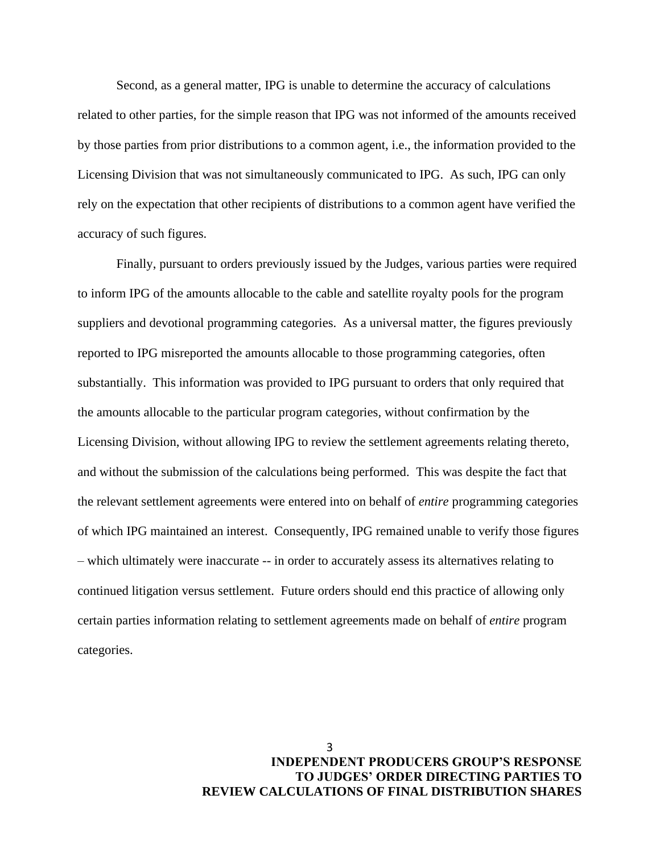Second, as a general matter, IPG is unable to determine the accuracy of calculations related to other parties, for the simple reason that IPG was not informed of the amounts received by those parties from prior distributions to a common agent, i.e., the information provided to the Licensing Division that was not simultaneously communicated to IPG. As such, IPG can only rely on the expectation that other recipients of distributions to a common agent have verified the accuracy of such figures.

Finally, pursuant to orders previously issued by the Judges, various parties were required to inform IPG of the amounts allocable to the cable and satellite royalty pools for the program suppliers and devotional programming categories. As a universal matter, the figures previously reported to IPG misreported the amounts allocable to those programming categories, often substantially. This information was provided to IPG pursuant to orders that only required that the amounts allocable to the particular program categories, without confirmation by the Licensing Division, without allowing IPG to review the settlement agreements relating thereto, and without the submission of the calculations being performed. This was despite the fact that the relevant settlement agreements were entered into on behalf of *entire* programming categories of which IPG maintained an interest. Consequently, IPG remained unable to verify those figures – which ultimately were inaccurate -- in order to accurately assess its alternatives relating to continued litigation versus settlement. Future orders should end this practice of allowing only certain parties information relating to settlement agreements made on behalf of *entire* program categories.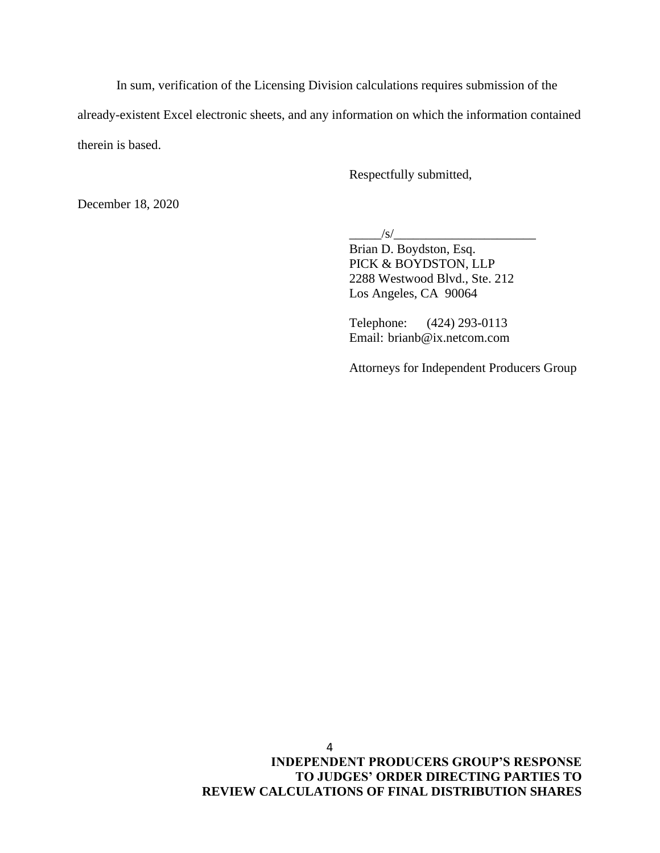In sum, verification of the Licensing Division calculations requires submission of the already-existent Excel electronic sheets, and any information on which the information contained therein is based.

Respectfully submitted,

December 18, 2020

 $\frac{|s|}{s}$ 

Brian D. Boydston, Esq. PICK & BOYDSTON, LLP 2288 Westwood Blvd., Ste. 212 Los Angeles, CA 90064

Telephone: (424) 293-0113 Email: brianb@ix.netcom.com

Attorneys for Independent Producers Group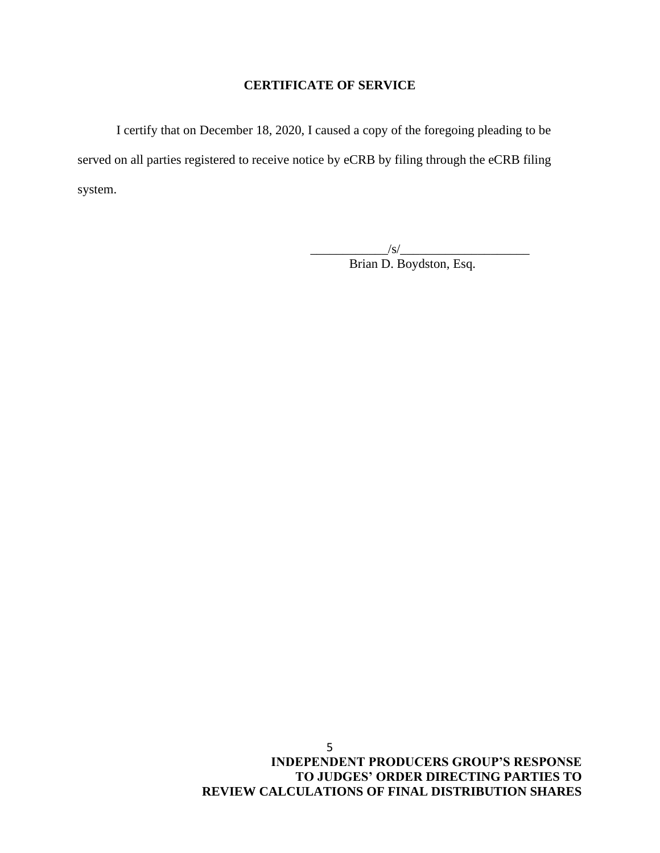## **CERTIFICATE OF SERVICE**

I certify that on December 18, 2020, I caused a copy of the foregoing pleading to be served on all parties registered to receive notice by eCRB by filing through the eCRB filing system.

> $\frac{1}{s}$ Brian D. Boydston, Esq.